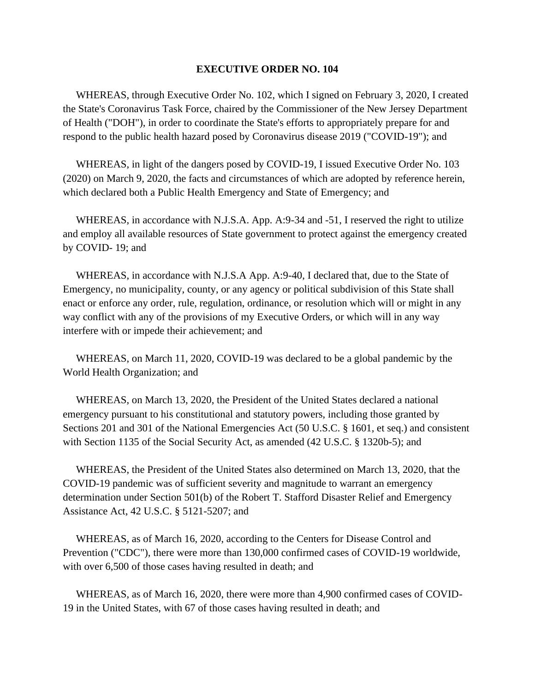## **EXECUTIVE ORDER NO. 104**

 WHEREAS, through Executive Order No. 102, which I signed on February 3, 2020, I created the State's Coronavirus Task Force, chaired by the Commissioner of the New Jersey Department of Health ("DOH"), in order to coordinate the State's efforts to appropriately prepare for and respond to the public health hazard posed by Coronavirus disease 2019 ("COVID-19"); and

 WHEREAS, in light of the dangers posed by COVID-19, I issued Executive Order No. 103 (2020) on March 9, 2020, the facts and circumstances of which are adopted by reference herein, which declared both a Public Health Emergency and State of Emergency; and

WHEREAS, in accordance with N.J.S.A. App. A:9-34 and -51, I reserved the right to utilize and employ all available resources of State government to protect against the emergency created by COVID- 19; and

 WHEREAS, in accordance with N.J.S.A App. A:9-40, I declared that, due to the State of Emergency, no municipality, county, or any agency or political subdivision of this State shall enact or enforce any order, rule, regulation, ordinance, or resolution which will or might in any way conflict with any of the provisions of my Executive Orders, or which will in any way interfere with or impede their achievement; and

 WHEREAS, on March 11, 2020, COVID-19 was declared to be a global pandemic by the World Health Organization; and

 WHEREAS, on March 13, 2020, the President of the United States declared a national emergency pursuant to his constitutional and statutory powers, including those granted by Sections 201 and 301 of the National Emergencies Act (50 U.S.C. § 1601, et seq.) and consistent with Section 1135 of the Social Security Act, as amended (42 U.S.C. § 1320b-5); and

 WHEREAS, the President of the United States also determined on March 13, 2020, that the COVID-19 pandemic was of sufficient severity and magnitude to warrant an emergency determination under Section 501(b) of the Robert T. Stafford Disaster Relief and Emergency Assistance Act, 42 U.S.C. § 5121-5207; and

 WHEREAS, as of March 16, 2020, according to the Centers for Disease Control and Prevention ("CDC"), there were more than 130,000 confirmed cases of COVID-19 worldwide, with over 6,500 of those cases having resulted in death; and

 WHEREAS, as of March 16, 2020, there were more than 4,900 confirmed cases of COVID-19 in the United States, with 67 of those cases having resulted in death; and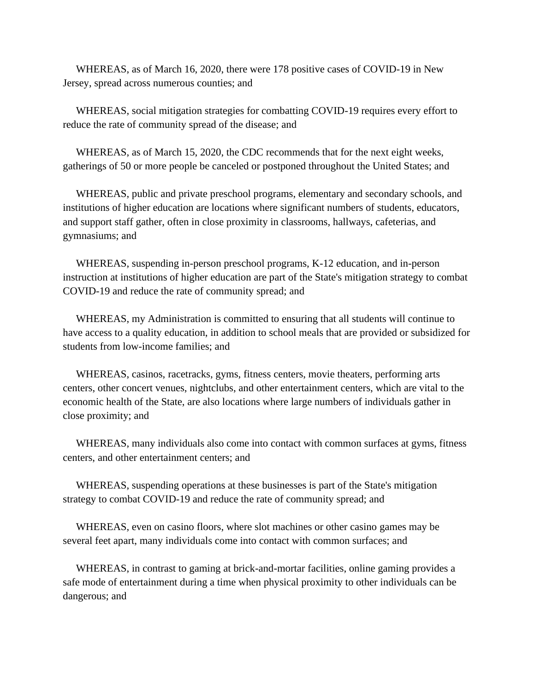WHEREAS, as of March 16, 2020, there were 178 positive cases of COVID-19 in New Jersey, spread across numerous counties; and

 WHEREAS, social mitigation strategies for combatting COVID-19 requires every effort to reduce the rate of community spread of the disease; and

 WHEREAS, as of March 15, 2020, the CDC recommends that for the next eight weeks, gatherings of 50 or more people be canceled or postponed throughout the United States; and

 WHEREAS, public and private preschool programs, elementary and secondary schools, and institutions of higher education are locations where significant numbers of students, educators, and support staff gather, often in close proximity in classrooms, hallways, cafeterias, and gymnasiums; and

 WHEREAS, suspending in-person preschool programs, K-12 education, and in-person instruction at institutions of higher education are part of the State's mitigation strategy to combat COVID-19 and reduce the rate of community spread; and

 WHEREAS, my Administration is committed to ensuring that all students will continue to have access to a quality education, in addition to school meals that are provided or subsidized for students from low-income families; and

 WHEREAS, casinos, racetracks, gyms, fitness centers, movie theaters, performing arts centers, other concert venues, nightclubs, and other entertainment centers, which are vital to the economic health of the State, are also locations where large numbers of individuals gather in close proximity; and

 WHEREAS, many individuals also come into contact with common surfaces at gyms, fitness centers, and other entertainment centers; and

 WHEREAS, suspending operations at these businesses is part of the State's mitigation strategy to combat COVID-19 and reduce the rate of community spread; and

 WHEREAS, even on casino floors, where slot machines or other casino games may be several feet apart, many individuals come into contact with common surfaces; and

 WHEREAS, in contrast to gaming at brick-and-mortar facilities, online gaming provides a safe mode of entertainment during a time when physical proximity to other individuals can be dangerous; and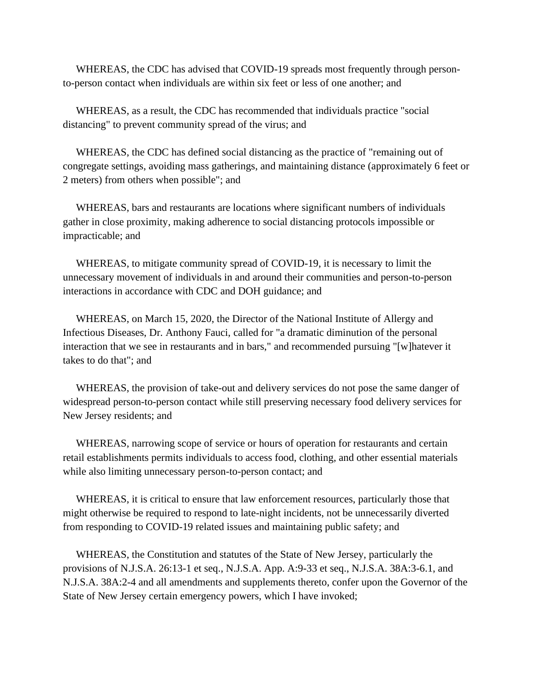WHEREAS, the CDC has advised that COVID-19 spreads most frequently through personto-person contact when individuals are within six feet or less of one another; and

 WHEREAS, as a result, the CDC has recommended that individuals practice "social distancing" to prevent community spread of the virus; and

 WHEREAS, the CDC has defined social distancing as the practice of "remaining out of congregate settings, avoiding mass gatherings, and maintaining distance (approximately 6 feet or 2 meters) from others when possible"; and

 WHEREAS, bars and restaurants are locations where significant numbers of individuals gather in close proximity, making adherence to social distancing protocols impossible or impracticable; and

 WHEREAS, to mitigate community spread of COVID-19, it is necessary to limit the unnecessary movement of individuals in and around their communities and person-to-person interactions in accordance with CDC and DOH guidance; and

 WHEREAS, on March 15, 2020, the Director of the National Institute of Allergy and Infectious Diseases, Dr. Anthony Fauci, called for "a dramatic diminution of the personal interaction that we see in restaurants and in bars," and recommended pursuing "[w]hatever it takes to do that"; and

 WHEREAS, the provision of take-out and delivery services do not pose the same danger of widespread person-to-person contact while still preserving necessary food delivery services for New Jersey residents; and

 WHEREAS, narrowing scope of service or hours of operation for restaurants and certain retail establishments permits individuals to access food, clothing, and other essential materials while also limiting unnecessary person-to-person contact; and

 WHEREAS, it is critical to ensure that law enforcement resources, particularly those that might otherwise be required to respond to late-night incidents, not be unnecessarily diverted from responding to COVID-19 related issues and maintaining public safety; and

 WHEREAS, the Constitution and statutes of the State of New Jersey, particularly the provisions of N.J.S.A. 26:13-1 et seq., N.J.S.A. App. A:9-33 et seq., N.J.S.A. 38A:3-6.1, and N.J.S.A. 38A:2-4 and all amendments and supplements thereto, confer upon the Governor of the State of New Jersey certain emergency powers, which I have invoked;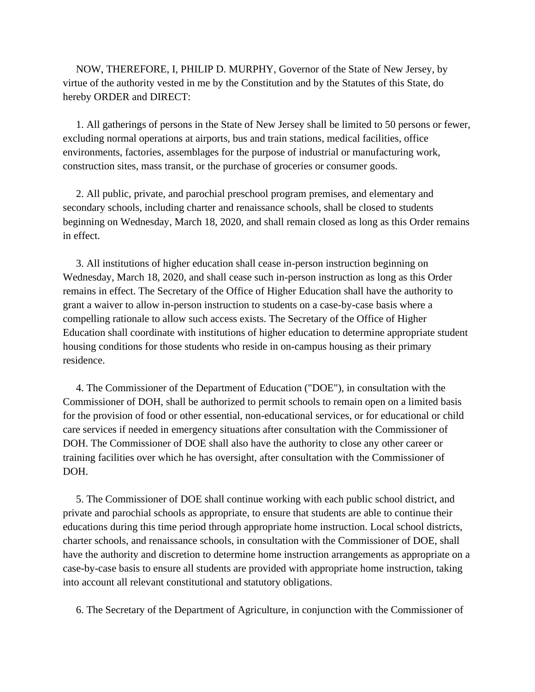NOW, THEREFORE, I, PHILIP D. MURPHY, Governor of the State of New Jersey, by virtue of the authority vested in me by the Constitution and by the Statutes of this State, do hereby ORDER and DIRECT:

 1. All gatherings of persons in the State of New Jersey shall be limited to 50 persons or fewer, excluding normal operations at airports, bus and train stations, medical facilities, office environments, factories, assemblages for the purpose of industrial or manufacturing work, construction sites, mass transit, or the purchase of groceries or consumer goods.

 2. All public, private, and parochial preschool program premises, and elementary and secondary schools, including charter and renaissance schools, shall be closed to students beginning on Wednesday, March 18, 2020, and shall remain closed as long as this Order remains in effect.

 3. All institutions of higher education shall cease in-person instruction beginning on Wednesday, March 18, 2020, and shall cease such in-person instruction as long as this Order remains in effect. The Secretary of the Office of Higher Education shall have the authority to grant a waiver to allow in-person instruction to students on a case-by-case basis where a compelling rationale to allow such access exists. The Secretary of the Office of Higher Education shall coordinate with institutions of higher education to determine appropriate student housing conditions for those students who reside in on-campus housing as their primary residence.

 4. The Commissioner of the Department of Education ("DOE"), in consultation with the Commissioner of DOH, shall be authorized to permit schools to remain open on a limited basis for the provision of food or other essential, non-educational services, or for educational or child care services if needed in emergency situations after consultation with the Commissioner of DOH. The Commissioner of DOE shall also have the authority to close any other career or training facilities over which he has oversight, after consultation with the Commissioner of DOH.

 5. The Commissioner of DOE shall continue working with each public school district, and private and parochial schools as appropriate, to ensure that students are able to continue their educations during this time period through appropriate home instruction. Local school districts, charter schools, and renaissance schools, in consultation with the Commissioner of DOE, shall have the authority and discretion to determine home instruction arrangements as appropriate on a case-by-case basis to ensure all students are provided with appropriate home instruction, taking into account all relevant constitutional and statutory obligations.

6. The Secretary of the Department of Agriculture, in conjunction with the Commissioner of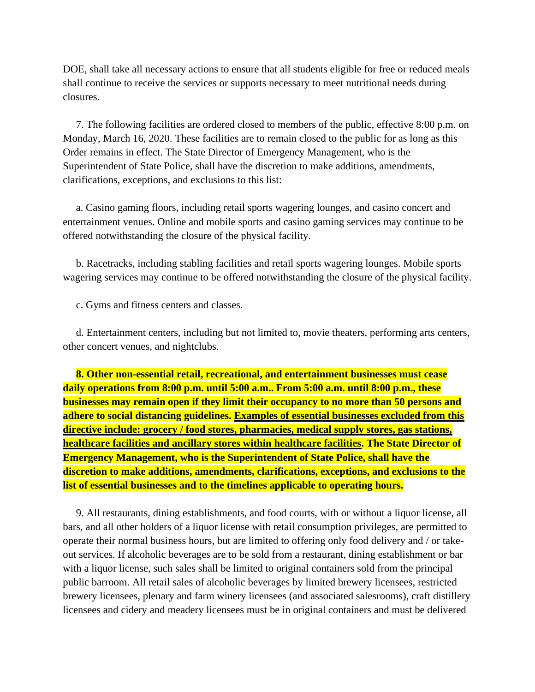DOE, shall take all necessary actions to ensure that all students eligible for free or reduced meals shall continue to receive the services or supports necessary to meet nutritional needs during closures.

 7. The following facilities are ordered closed to members of the public, effective 8:00 p.m. on Monday, March 16, 2020. These facilities are to remain closed to the public for as long as this Order remains in effect. The State Director of Emergency Management, who is the Superintendent of State Police, shall have the discretion to make additions, amendments, clarifications, exceptions, and exclusions to this list:

 a. Casino gaming floors, including retail sports wagering lounges, and casino concert and entertainment venues. Online and mobile sports and casino gaming services may continue to be offered notwithstanding the closure of the physical facility.

 b. Racetracks, including stabling facilities and retail sports wagering lounges. Mobile sports wagering services may continue to be offered notwithstanding the closure of the physical facility.

c. Gyms and fitness centers and classes.

 d. Entertainment centers, including but not limited to, movie theaters, performing arts centers, other concert venues, and nightclubs.

 **8. Other non-essential retail, recreational, and entertainment businesses must cease daily operations from 8:00 p.m. until 5:00 a.m.. From 5:00 a.m. until 8:00 p.m., these businesses may remain open if they limit their occupancy to no more than 50 persons and adhere to social distancing guidelines. Examples of essential businesses excluded from this directive include: grocery / food stores, pharmacies, medical supply stores, gas stations, healthcare facilities and ancillary stores within healthcare facilities. The State Director of Emergency Management, who is the Superintendent of State Police, shall have the discretion to make additions, amendments, clarifications, exceptions, and exclusions to the list of essential businesses and to the timelines applicable to operating hours.**

 9. All restaurants, dining establishments, and food courts, with or without a liquor license, all bars, and all other holders of a liquor license with retail consumption privileges, are permitted to operate their normal business hours, but are limited to offering only food delivery and / or takeout services. If alcoholic beverages are to be sold from a restaurant, dining establishment or bar with a liquor license, such sales shall be limited to original containers sold from the principal public barroom. All retail sales of alcoholic beverages by limited brewery licensees, restricted brewery licensees, plenary and farm winery licensees (and associated salesrooms), craft distillery licensees and cidery and meadery licensees must be in original containers and must be delivered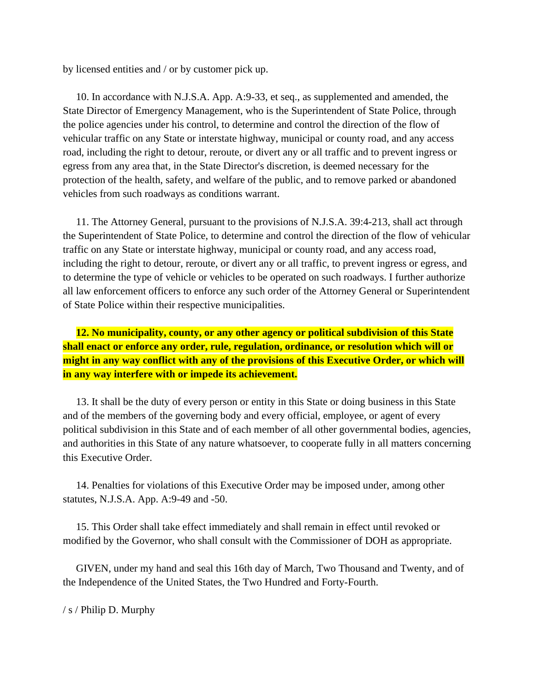by licensed entities and / or by customer pick up.

 10. In accordance with N.J.S.A. App. A:9-33, et seq., as supplemented and amended, the State Director of Emergency Management, who is the Superintendent of State Police, through the police agencies under his control, to determine and control the direction of the flow of vehicular traffic on any State or interstate highway, municipal or county road, and any access road, including the right to detour, reroute, or divert any or all traffic and to prevent ingress or egress from any area that, in the State Director's discretion, is deemed necessary for the protection of the health, safety, and welfare of the public, and to remove parked or abandoned vehicles from such roadways as conditions warrant.

 11. The Attorney General, pursuant to the provisions of N.J.S.A. 39:4-213, shall act through the Superintendent of State Police, to determine and control the direction of the flow of vehicular traffic on any State or interstate highway, municipal or county road, and any access road, including the right to detour, reroute, or divert any or all traffic, to prevent ingress or egress, and to determine the type of vehicle or vehicles to be operated on such roadways. I further authorize all law enforcement officers to enforce any such order of the Attorney General or Superintendent of State Police within their respective municipalities.

 **12. No municipality, county, or any other agency or political subdivision of this State shall enact or enforce any order, rule, regulation, ordinance, or resolution which will or might in any way conflict with any of the provisions of this Executive Order, or which will in any way interfere with or impede its achievement.**

 13. It shall be the duty of every person or entity in this State or doing business in this State and of the members of the governing body and every official, employee, or agent of every political subdivision in this State and of each member of all other governmental bodies, agencies, and authorities in this State of any nature whatsoever, to cooperate fully in all matters concerning this Executive Order.

 14. Penalties for violations of this Executive Order may be imposed under, among other statutes, N.J.S.A. App. A:9-49 and -50.

 15. This Order shall take effect immediately and shall remain in effect until revoked or modified by the Governor, who shall consult with the Commissioner of DOH as appropriate.

 GIVEN, under my hand and seal this 16th day of March, Two Thousand and Twenty, and of the Independence of the United States, the Two Hundred and Forty-Fourth.

/ s / Philip D. Murphy